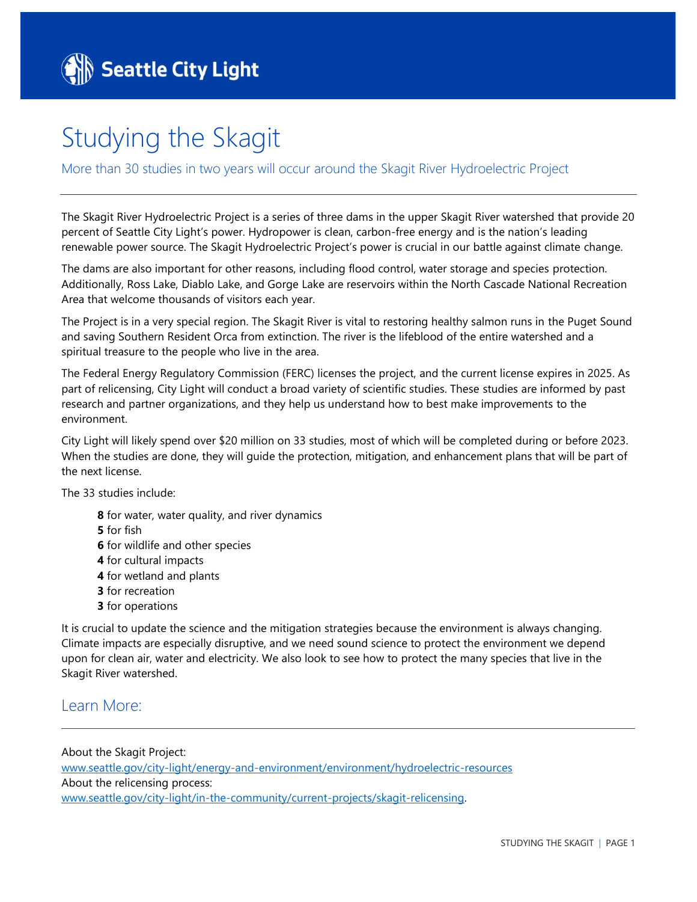## Studying the Skagit

More than 30 studies in two years will occur around the Skagit River Hydroelectric Project

The Skagit River Hydroelectric Project is a series of three dams in the upper Skagit River watershed that provide 20 percent of Seattle City Light's power. Hydropower is clean, carbon-free energy and is the nation's leading renewable power source. The Skagit Hydroelectric Project's power is crucial in our battle against climate change.

The dams are also important for other reasons, including flood control, water storage and species protection. Additionally, Ross Lake, Diablo Lake, and Gorge Lake are reservoirs within the North Cascade National Recreation Area that welcome thousands of visitors each year.

The Project is in a very special region. The Skagit River is vital to restoring healthy salmon runs in the Puget Sound and saving Southern Resident Orca from extinction. The river is the lifeblood of the entire watershed and a spiritual treasure to the people who live in the area.

The Federal Energy Regulatory Commission (FERC) licenses the project, and the current license expires in 2025. As part of relicensing, City Light will conduct a broad variety of scientific studies. These studies are informed by past research and partner organizations, and they help us understand how to best make improvements to the environment.

City Light will likely spend over \$20 million on 33 studies, most of which will be completed during or before 2023. When the studies are done, they will guide the protection, mitigation, and enhancement plans that will be part of the next license.

The 33 studies include:

- **8** for water, water quality, and river dynamics
- **5** for fish
- **6** for wildlife and other species
- **4** for cultural impacts
- **4** for wetland and plants
- **3** for recreation
- **3** for operations

It is crucial to update the science and the mitigation strategies because the environment is always changing. Climate impacts are especially disruptive, and we need sound science to protect the environment we depend upon for clean air, water and electricity. We also look to see how to protect the many species that live in the Skagit River watershed.

## Learn More:

About the Skagit Project: [www.seattle.gov/city-light/energy-and-environment/environment/hydroelectric-resources](http://www.seattle.gov/city-light/energy-and-environment/environment/hydroelectric-resources) About the relicensing process: [www.seattle.gov/city-light/in-the-community/current-projects/skagit-relicensing.](http://www.seattle.gov/city-light/in-the-community/current-projects/skagit-relicensing)